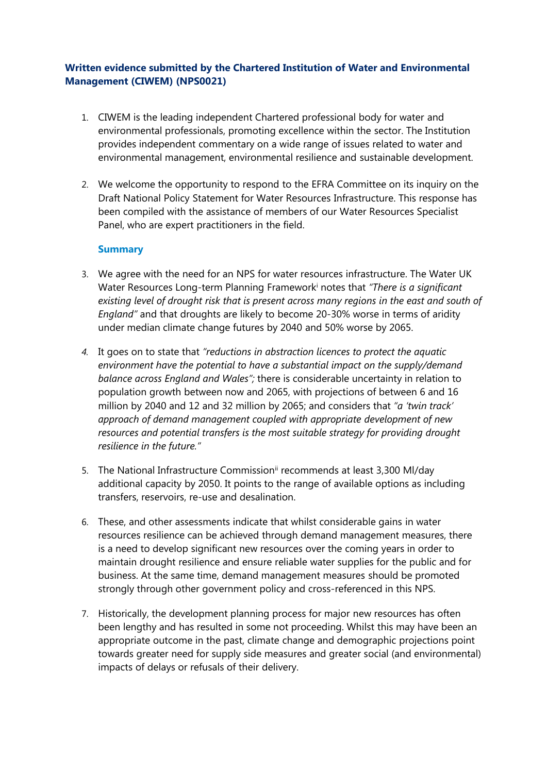# **Written evidence submitted by the Chartered Institution of Water and Environmental Management (CIWEM) (NPS0021)**

- 1. CIWEM is the leading independent Chartered professional body for water and environmental professionals, promoting excellence within the sector. The Institution provides independent commentary on a wide range of issues related to water and environmental management, environmental resilience and sustainable development.
- 2. We welcome the opportunity to respond to the EFRA Committee on its inquiry on the Draft National Policy Statement for Water Resources Infrastructure. This response has been compiled with the assistance of members of our Water Resources Specialist Panel, who are expert practitioners in the field.

### **Summary**

- 3. We agree with the need for an NPS for water resources infrastructure. The Water UK Water Resources Long-term Planning Framework<sup>i</sup> notes that *"There is a significant existing level of drought risk that is present across many regions in the east and south of England"* and that droughts are likely to become 20-30% worse in terms of aridity under median climate change futures by 2040 and 50% worse by 2065.
- *4.* It goes on to state that *"reductions in abstraction licences to protect the aquatic environment have the potential to have a substantial impact on the supply/demand balance across England and Wales";* there is considerable uncertainty in relation to population growth between now and 2065, with projections of between 6 and 16 million by 2040 and 12 and 32 million by 2065; and considers that *"a 'twin track' approach of demand management coupled with appropriate development of new resources and potential transfers is the most suitable strategy for providing drought resilience in the future."*
- 5. The National Infrastructure Commission<sup>ii</sup> recommends at least 3,300 Ml/day additional capacity by 2050. It points to the range of available options as including transfers, reservoirs, re-use and desalination.
- 6. These, and other assessments indicate that whilst considerable gains in water resources resilience can be achieved through demand management measures, there is a need to develop significant new resources over the coming years in order to maintain drought resilience and ensure reliable water supplies for the public and for business. At the same time, demand management measures should be promoted strongly through other government policy and cross-referenced in this NPS.
- 7. Historically, the development planning process for major new resources has often been lengthy and has resulted in some not proceeding. Whilst this may have been an appropriate outcome in the past, climate change and demographic projections point towards greater need for supply side measures and greater social (and environmental) impacts of delays or refusals of their delivery.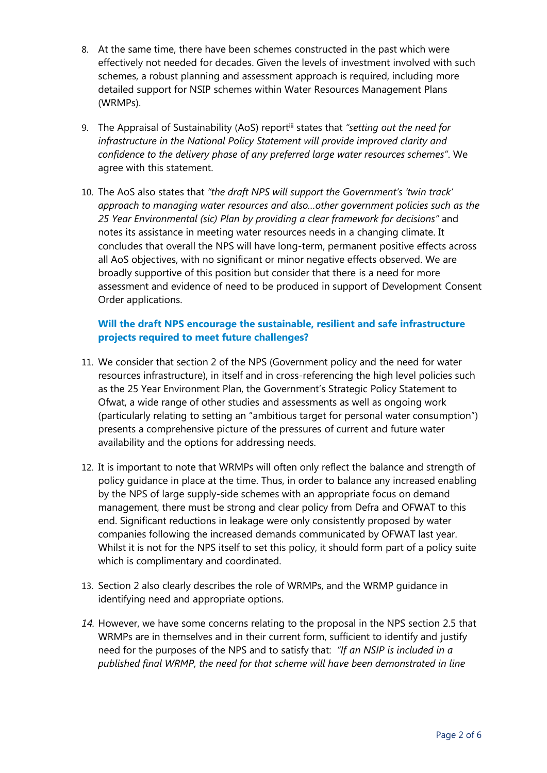- 8. At the same time, there have been schemes constructed in the past which were effectively not needed for decades. Given the levels of investment involved with such schemes, a robust planning and assessment approach is required, including more detailed support for NSIP schemes within Water Resources Management Plans (WRMPs).
- 9. The Appraisal of Sustainability (AoS) reportiii states that *"setting out the need for infrastructure in the National Policy Statement will provide improved clarity and confidence to the delivery phase of any preferred large water resources schemes"*. We agree with this statement.
- 10. The AoS also states that *"the draft NPS will support the Government's 'twin track' approach to managing water resources and also…other government policies such as the 25 Year Environmental (sic) Plan by providing a clear framework for decisions"* and notes its assistance in meeting water resources needs in a changing climate. It concludes that overall the NPS will have long-term, permanent positive effects across all AoS objectives, with no significant or minor negative effects observed. We are broadly supportive of this position but consider that there is a need for more assessment and evidence of need to be produced in support of Development Consent Order applications.

# **Will the draft NPS encourage the sustainable, resilient and safe infrastructure projects required to meet future challenges?**

- 11. We consider that section 2 of the NPS (Government policy and the need for water resources infrastructure), in itself and in cross-referencing the high level policies such as the 25 Year Environment Plan, the Government's Strategic Policy Statement to Ofwat, a wide range of other studies and assessments as well as ongoing work (particularly relating to setting an "ambitious target for personal water consumption") presents a comprehensive picture of the pressures of current and future water availability and the options for addressing needs.
- 12. It is important to note that WRMPs will often only reflect the balance and strength of policy guidance in place at the time. Thus, in order to balance any increased enabling by the NPS of large supply-side schemes with an appropriate focus on demand management, there must be strong and clear policy from Defra and OFWAT to this end. Significant reductions in leakage were only consistently proposed by water companies following the increased demands communicated by OFWAT last year. Whilst it is not for the NPS itself to set this policy, it should form part of a policy suite which is complimentary and coordinated.
- 13. Section 2 also clearly describes the role of WRMPs, and the WRMP guidance in identifying need and appropriate options.
- *14.* However, we have some concerns relating to the proposal in the NPS section 2.5 that WRMPs are in themselves and in their current form, sufficient to identify and justify need for the purposes of the NPS and to satisfy that: *"If an NSIP is included in a published final WRMP, the need for that scheme will have been demonstrated in line*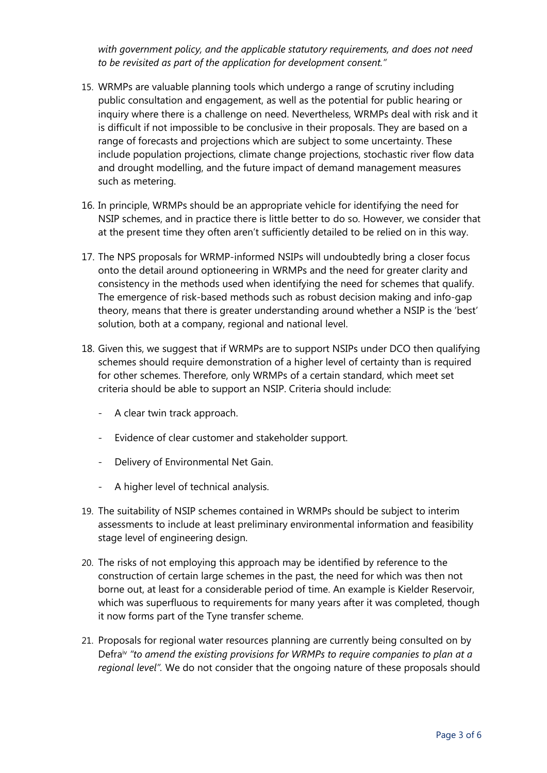*with government policy, and the applicable statutory requirements, and does not need to be revisited as part of the application for development consent."*

- 15. WRMPs are valuable planning tools which undergo a range of scrutiny including public consultation and engagement, as well as the potential for public hearing or inquiry where there is a challenge on need. Nevertheless, WRMPs deal with risk and it is difficult if not impossible to be conclusive in their proposals. They are based on a range of forecasts and projections which are subject to some uncertainty. These include population projections, climate change projections, stochastic river flow data and drought modelling, and the future impact of demand management measures such as metering.
- 16. In principle, WRMPs should be an appropriate vehicle for identifying the need for NSIP schemes, and in practice there is little better to do so. However, we consider that at the present time they often aren't sufficiently detailed to be relied on in this way.
- 17. The NPS proposals for WRMP-informed NSIPs will undoubtedly bring a closer focus onto the detail around optioneering in WRMPs and the need for greater clarity and consistency in the methods used when identifying the need for schemes that qualify. The emergence of risk-based methods such as robust decision making and info-gap theory, means that there is greater understanding around whether a NSIP is the 'best' solution, both at a company, regional and national level.
- 18. Given this, we suggest that if WRMPs are to support NSIPs under DCO then qualifying schemes should require demonstration of a higher level of certainty than is required for other schemes. Therefore, only WRMPs of a certain standard, which meet set criteria should be able to support an NSIP. Criteria should include:
	- A clear twin track approach.
	- Evidence of clear customer and stakeholder support.
	- Delivery of Environmental Net Gain.
	- A higher level of technical analysis.
- 19. The suitability of NSIP schemes contained in WRMPs should be subject to interim assessments to include at least preliminary environmental information and feasibility stage level of engineering design.
- 20. The risks of not employing this approach may be identified by reference to the construction of certain large schemes in the past, the need for which was then not borne out, at least for a considerable period of time. An example is Kielder Reservoir, which was superfluous to requirements for many years after it was completed, though it now forms part of the Tyne transfer scheme.
- 21. Proposals for regional water resources planning are currently being consulted on by Defraiv *"to amend the existing provisions for WRMPs to require companies to plan at a regional level".* We do not consider that the ongoing nature of these proposals should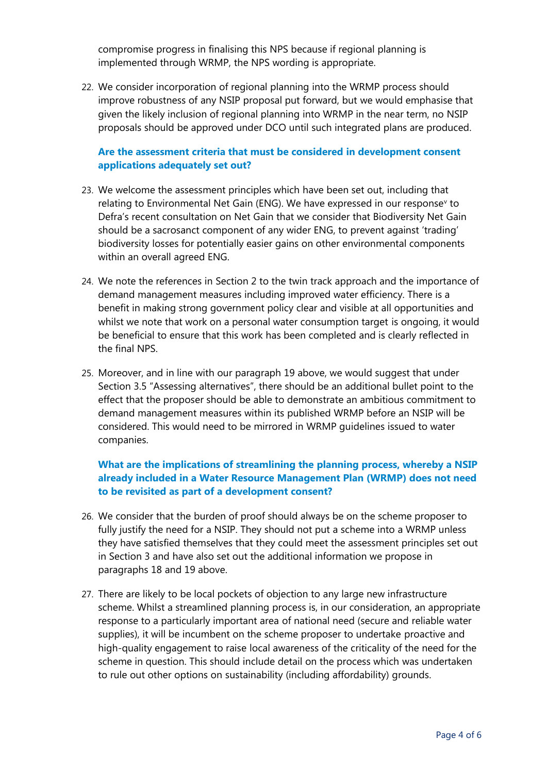compromise progress in finalising this NPS because if regional planning is implemented through WRMP, the NPS wording is appropriate.

22. We consider incorporation of regional planning into the WRMP process should improve robustness of any NSIP proposal put forward, but we would emphasise that given the likely inclusion of regional planning into WRMP in the near term, no NSIP proposals should be approved under DCO until such integrated plans are produced.

### **Are the assessment criteria that must be considered in development consent applications adequately set out?**

- 23. We welcome the assessment principles which have been set out, including that relating to Environmental Net Gain (ENG). We have expressed in our response<sup>v</sup> to Defra's recent consultation on Net Gain that we consider that Biodiversity Net Gain should be a sacrosanct component of any wider ENG, to prevent against 'trading' biodiversity losses for potentially easier gains on other environmental components within an overall agreed ENG.
- 24. We note the references in Section 2 to the twin track approach and the importance of demand management measures including improved water efficiency. There is a benefit in making strong government policy clear and visible at all opportunities and whilst we note that work on a personal water consumption target is ongoing, it would be beneficial to ensure that this work has been completed and is clearly reflected in the final NPS.
- 25. Moreover, and in line with our paragraph 19 above, we would suggest that under Section 3.5 "Assessing alternatives", there should be an additional bullet point to the effect that the proposer should be able to demonstrate an ambitious commitment to demand management measures within its published WRMP before an NSIP will be considered. This would need to be mirrored in WRMP guidelines issued to water companies.

## **What are the implications of streamlining the planning process, whereby a NSIP already included in a Water Resource Management Plan (WRMP) does not need to be revisited as part of a development consent?**

- 26. We consider that the burden of proof should always be on the scheme proposer to fully justify the need for a NSIP. They should not put a scheme into a WRMP unless they have satisfied themselves that they could meet the assessment principles set out in Section 3 and have also set out the additional information we propose in paragraphs 18 and 19 above.
- 27. There are likely to be local pockets of objection to any large new infrastructure scheme. Whilst a streamlined planning process is, in our consideration, an appropriate response to a particularly important area of national need (secure and reliable water supplies), it will be incumbent on the scheme proposer to undertake proactive and high-quality engagement to raise local awareness of the criticality of the need for the scheme in question. This should include detail on the process which was undertaken to rule out other options on sustainability (including affordability) grounds.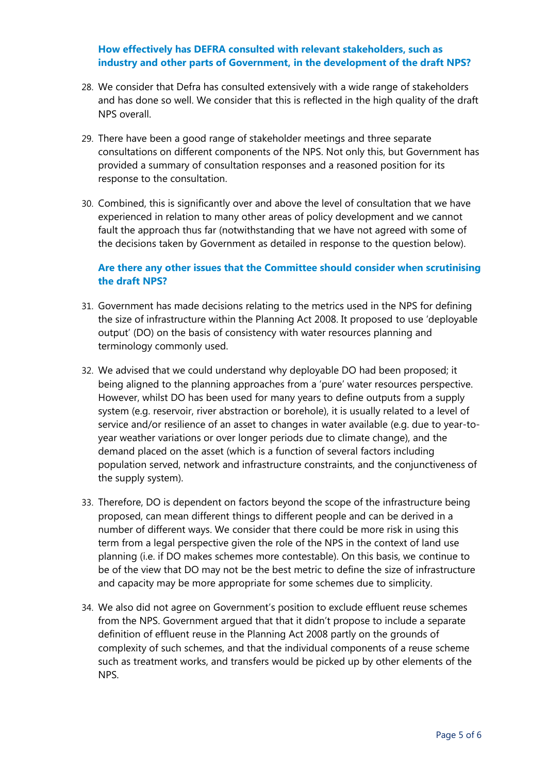### **How effectively has DEFRA consulted with relevant stakeholders, such as industry and other parts of Government, in the development of the draft NPS?**

- 28. We consider that Defra has consulted extensively with a wide range of stakeholders and has done so well. We consider that this is reflected in the high quality of the draft NPS overall.
- 29. There have been a good range of stakeholder meetings and three separate consultations on different components of the NPS. Not only this, but Government has provided a summary of consultation responses and a reasoned position for its response to the consultation.
- 30. Combined, this is significantly over and above the level of consultation that we have experienced in relation to many other areas of policy development and we cannot fault the approach thus far (notwithstanding that we have not agreed with some of the decisions taken by Government as detailed in response to the question below).

## **Are there any other issues that the Committee should consider when scrutinising the draft NPS?**

- 31. Government has made decisions relating to the metrics used in the NPS for defining the size of infrastructure within the Planning Act 2008. It proposed to use 'deployable output' (DO) on the basis of consistency with water resources planning and terminology commonly used.
- 32. We advised that we could understand why deployable DO had been proposed; it being aligned to the planning approaches from a 'pure' water resources perspective. However, whilst DO has been used for many years to define outputs from a supply system (e.g. reservoir, river abstraction or borehole), it is usually related to a level of service and/or resilience of an asset to changes in water available (e.g. due to year-toyear weather variations or over longer periods due to climate change), and the demand placed on the asset (which is a function of several factors including population served, network and infrastructure constraints, and the conjunctiveness of the supply system).
- 33. Therefore, DO is dependent on factors beyond the scope of the infrastructure being proposed, can mean different things to different people and can be derived in a number of different ways. We consider that there could be more risk in using this term from a legal perspective given the role of the NPS in the context of land use planning (i.e. if DO makes schemes more contestable). On this basis, we continue to be of the view that DO may not be the best metric to define the size of infrastructure and capacity may be more appropriate for some schemes due to simplicity.
- 34. We also did not agree on Government's position to exclude effluent reuse schemes from the NPS. Government argued that that it didn't propose to include a separate definition of effluent reuse in the Planning Act 2008 partly on the grounds of complexity of such schemes, and that the individual components of a reuse scheme such as treatment works, and transfers would be picked up by other elements of the NPS.